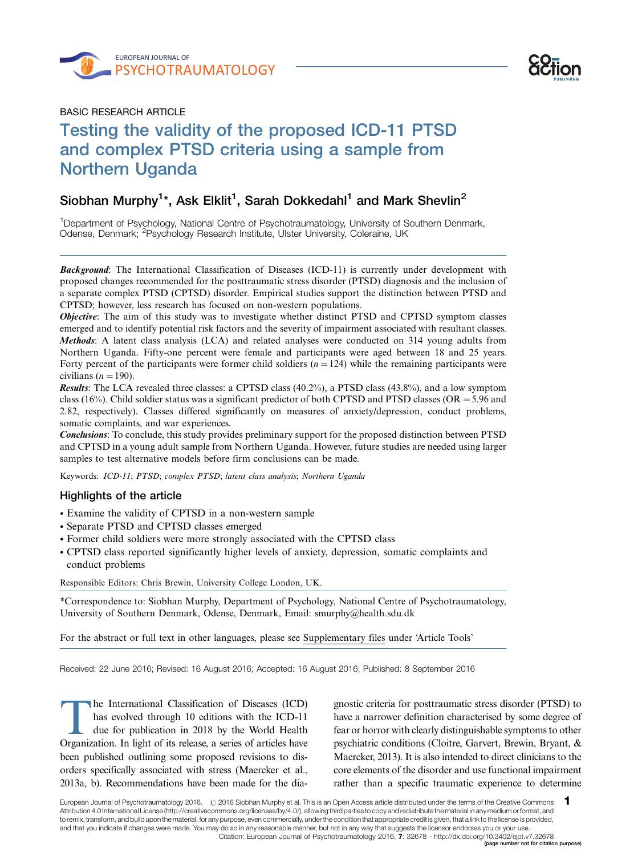



## **BASIC RESEARCH ARTICLE**

# Testing the validity of the proposed ICD-11 PTSD and complex PTSD criteria using a sample from Northern Uganda

# Siobhan Murphy<sup>1</sup>\*, Ask Elklit<sup>1</sup>, Sarah Dokkedahl<sup>1</sup> and Mark Shevlin<sup>2</sup>

<sup>1</sup>Department of Psychology, National Centre of Psychotraumatology, University of Southern Denmark, Odense, Denmark; <sup>2</sup>Psychology Research Institute, Ulster University, Coleraine, UK

**Background:** The International Classification of Diseases (ICD-11) is currently under development with proposed changes recommended for the posttraumatic stress disorder (PTSD) diagnosis and the inclusion of a separate complex PTSD (CPTSD) disorder. Empirical studies support the distinction between PTSD and CPTSD; however, less research has focused on non-western populations.

**Objective:** The aim of this study was to investigate whether distinct PTSD and CPTSD symptom classes emerged and to identify potential risk factors and the severity of impairment associated with resultant classes. Methods: A latent class analysis (LCA) and related analyses were conducted on 314 young adults from Northern Uganda. Fifty-one percent were female and participants were aged between 18 and 25 years. Forty percent of the participants were former child soldiers  $(n = 124)$  while the remaining participants were civilians ( $n = 190$ ).

Results: The LCA revealed three classes: a CPTSD class (40.2%), a PTSD class (43.8%), and a low symptom class (16%). Child soldier status was a significant predictor of both CPTSD and PTSD classes (OR  $=$  5.96 and 2.82, respectively). Classes differed significantly on measures of anxiety/depression, conduct problems, somatic complaints, and war experiences.

Conclusions: To conclude, this study provides preliminary support for the proposed distinction between PTSD and CPTSD in a young adult sample from Northern Uganda. However, future studies are needed using larger samples to test alternative models before firm conclusions can be made.

Keywords: ICD-11; PTSD; complex PTSD; latent class analysis; Northern Uganda

#### Highlights of the article

- Examine the validity of CPTSD in a non-western sample
- Separate PTSD and CPTSD classes emerged
- Former child soldiers were more strongly associated with the CPTSD class
- CPTSD class reported significantly higher levels of anxiety, depression, somatic complaints and conduct problems

Responsible Editors: Chris Brewin, University College London, UK.

\*Correspondence to: Siobhan Murphy, Department of Psychology, National Centre of Psychotraumatology, University of Southern Denmark, Odense, Denmark, Email: smurphy@health.sdu.dk

[For the abstract or full text in other languages, please see](http://www.ejpt.net/index.php/ejpt/rt/suppFiles/32678/0) [Supplementary files under 'Article Tools'](http://www.ejpt.net/index.php/ejpt/rt/suppFiles/32678/0)

Received: 22 June 2016; Revised: 16 August 2016; Accepted: 16 August 2016; Published: 8 September 2016

The International Classification of Diseases (ICD) has evolved through 10 editions with the ICD-11 due for publication in 2018 by the World Health Organization. In light of its release, a series of articles have been published outlining some proposed revisions to disorders specifically associated with stress (Maercker et al., 2013a, b). Recommendations have been made for the diagnostic criteria for posttraumatic stress disorder (PTSD) to have a narrower definition characterised by some degree of fear or horror with clearly distinguishable symptoms to other psychiatric conditions (Cloitre, Garvert, Brewin, Bryant, & Maercker, 2013). It is also intended to direct clinicians to the core elements of the disorder and use functional impairment rather than a specific traumatic experience to determine

European Journal of Psychotraumatology 2016. @ 2016 Siobhan Murphy et al. This is an Open Access article distributed under the terms of the Creative Commons Attribution 4.0 International License ([http://creativecommons.org/licenses/by/4.0/\)](http://creativecommons.org/licenses/by/4.0/), allowing third parties to copy and redistribute the material in any medium or format, and to remix, transform, and build upon the material, for any purpose, even commercially, under the condition that appropriate credit is given, that a link to the license is provided, and that you indicate if changes were made. You may do so in any reasonable manner, but not in any way that suggests the licensor endorses you or your use. 1 [Citation: European Journal of Psychotraumatology 2016,](http://www.ejpt.net/index.php/ejpt/article/view/32678) 7: 32678 - <http://dx.doi.org/10.3402/ejpt.v7.32678> (page number not for citation purpose)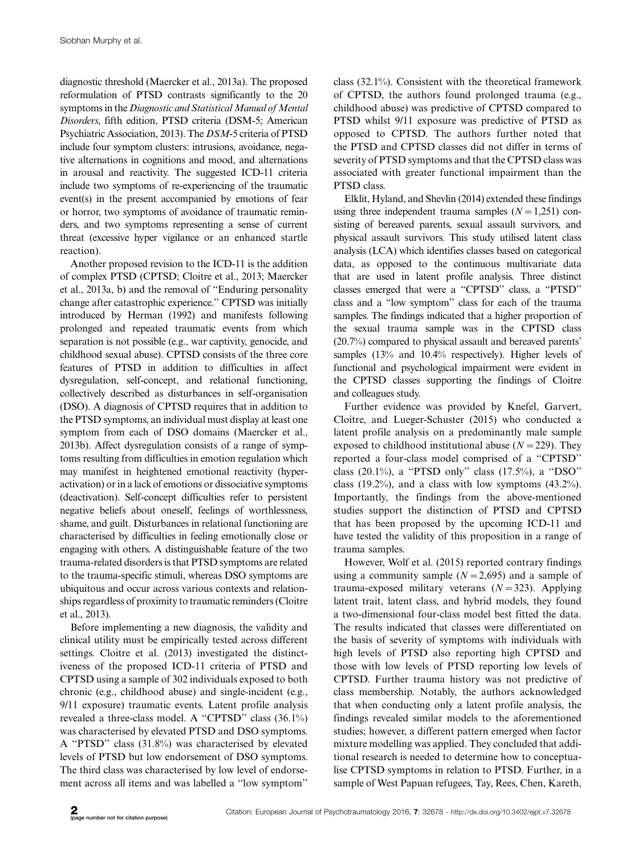diagnostic threshold (Maercker et al., 2013a). The proposed reformulation of PTSD contrasts significantly to the 20 symptoms in the Diagnostic and Statistical Manual of Mental Disorders, fifth edition, PTSD criteria (DSM-5; American Psychiatric Association, 2013). The DSM-5 criteria of PTSD include four symptom clusters: intrusions, avoidance, negative alternations in cognitions and mood, and alternations in arousal and reactivity. The suggested ICD-11 criteria include two symptoms of re-experiencing of the traumatic event(s) in the present accompanied by emotions of fear or horror, two symptoms of avoidance of traumatic reminders, and two symptoms representing a sense of current threat (excessive hyper vigilance or an enhanced startle reaction).

Another proposed revision to the ICD-11 is the addition of complex PTSD (CPTSD; Cloitre et al., 2013; Maercker et al., 2013a, b) and the removal of ''Enduring personality change after catastrophic experience.'' CPTSD was initially introduced by Herman (1992) and manifests following prolonged and repeated traumatic events from which separation is not possible (e.g., war captivity, genocide, and childhood sexual abuse). CPTSD consists of the three core features of PTSD in addition to difficulties in affect dysregulation, self-concept, and relational functioning, collectively described as disturbances in self-organisation (DSO). A diagnosis of CPTSD requires that in addition to the PTSD symptoms, an individual must display at least one symptom from each of DSO domains (Maercker et al., 2013b). Affect dysregulation consists of a range of symptoms resulting from difficulties in emotion regulation which may manifest in heightened emotional reactivity (hyperactivation) or in a lack of emotions or dissociative symptoms (deactivation). Self-concept difficulties refer to persistent negative beliefs about oneself, feelings of worthlessness, shame, and guilt. Disturbances in relational functioning are characterised by difficulties in feeling emotionally close or engaging with others. A distinguishable feature of the two trauma-related disorders is that PTSD symptoms are related to the trauma-specific stimuli, whereas DSO symptoms are ubiquitous and occur across various contexts and relationships regardless of proximity to traumatic reminders (Cloitre et al., 2013).

Before implementing a new diagnosis, the validity and clinical utility must be empirically tested across different settings. Cloitre et al. (2013) investigated the distinctiveness of the proposed ICD-11 criteria of PTSD and CPTSD using a sample of 302 individuals exposed to both chronic (e.g., childhood abuse) and single-incident (e.g., 9/11 exposure) traumatic events. Latent profile analysis revealed a three-class model. A ''CPTSD'' class (36.1%) was characterised by elevated PTSD and DSO symptoms. A ''PTSD'' class (31.8%) was characterised by elevated levels of PTSD but low endorsement of DSO symptoms. The third class was characterised by low level of endorsement across all items and was labelled a ''low symptom''

class (32.1%). Consistent with the theoretical framework of CPTSD, the authors found prolonged trauma (e.g., childhood abuse) was predictive of CPTSD compared to PTSD whilst 9/11 exposure was predictive of PTSD as opposed to CPTSD. The authors further noted that the PTSD and CPTSD classes did not differ in terms of severity of PTSD symptoms and that the CPTSD class was associated with greater functional impairment than the PTSD class.

Elklit, Hyland, and Shevlin (2014) extended these findings using three independent trauma samples  $(N = 1,251)$  consisting of bereaved parents, sexual assault survivors, and physical assault survivors. This study utilised latent class analysis (LCA) which identifies classes based on categorical data, as opposed to the continuous multivariate data that are used in latent profile analysis. Three distinct classes emerged that were a ''CPTSD'' class, a ''PTSD'' class and a ''low symptom'' class for each of the trauma samples. The findings indicated that a higher proportion of the sexual trauma sample was in the CPTSD class (20.7%) compared to physical assault and bereaved parents' samples (13% and 10.4% respectively). Higher levels of functional and psychological impairment were evident in the CPTSD classes supporting the findings of Cloitre and colleagues study.

Further evidence was provided by Knefel, Garvert, Cloitre, and Lueger-Schuster (2015) who conducted a latent profile analysis on a predominantly male sample exposed to childhood institutional abuse ( $N = 229$ ). They reported a four-class model comprised of a ''CPTSD'' class (20.1%), a ''PTSD only'' class (17.5%), a ''DSO'' class (19.2%), and a class with low symptoms (43.2%). Importantly, the findings from the above-mentioned studies support the distinction of PTSD and CPTSD that has been proposed by the upcoming ICD-11 and have tested the validity of this proposition in a range of trauma samples.

However, Wolf et al. (2015) reported contrary findings using a community sample  $(N=2,695)$  and a sample of trauma-exposed military veterans  $(N = 323)$ . Applying latent trait, latent class, and hybrid models, they found a two-dimensional four-class model best fitted the data. The results indicated that classes were differentiated on the basis of severity of symptoms with individuals with high levels of PTSD also reporting high CPTSD and those with low levels of PTSD reporting low levels of CPTSD. Further trauma history was not predictive of class membership. Notably, the authors acknowledged that when conducting only a latent profile analysis, the findings revealed similar models to the aforementioned studies; however, a different pattern emerged when factor mixture modelling was applied. They concluded that additional research is needed to determine how to conceptualise CPTSD symptoms in relation to PTSD. Further, in a sample of West Papuan refugees, Tay, Rees, Chen, Kareth,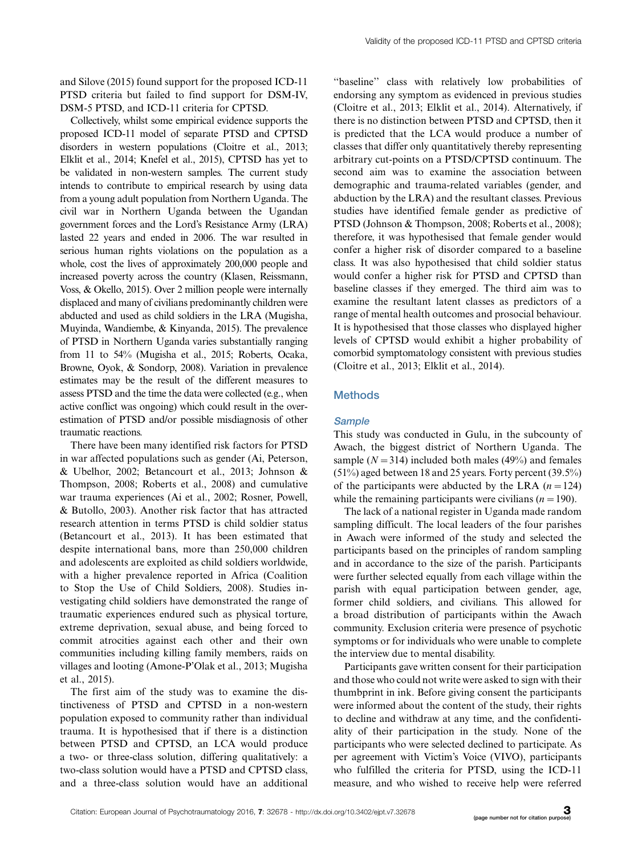and Silove (2015) found support for the proposed ICD-11 PTSD criteria but failed to find support for DSM-IV, DSM-5 PTSD, and ICD-11 criteria for CPTSD.

Collectively, whilst some empirical evidence supports the proposed ICD-11 model of separate PTSD and CPTSD disorders in western populations (Cloitre et al., 2013; Elklit et al., 2014; Knefel et al., 2015), CPTSD has yet to be validated in non-western samples. The current study intends to contribute to empirical research by using data from a young adult population from Northern Uganda. The civil war in Northern Uganda between the Ugandan government forces and the Lord's Resistance Army (LRA) lasted 22 years and ended in 2006. The war resulted in serious human rights violations on the population as a whole, cost the lives of approximately 200,000 people and increased poverty across the country (Klasen, Reissmann, Voss, & Okello, 2015). Over 2 million people were internally displaced and many of civilians predominantly children were abducted and used as child soldiers in the LRA (Mugisha, Muyinda, Wandiembe, & Kinyanda, 2015). The prevalence of PTSD in Northern Uganda varies substantially ranging from 11 to 54% (Mugisha et al., 2015; Roberts, Ocaka, Browne, Oyok, & Sondorp, 2008). Variation in prevalence estimates may be the result of the different measures to assess PTSD and the time the data were collected (e.g., when active conflict was ongoing) which could result in the overestimation of PTSD and/or possible misdiagnosis of other traumatic reactions.

There have been many identified risk factors for PTSD in war affected populations such as gender (Ai, Peterson, & Ubelhor, 2002; Betancourt et al., 2013; Johnson & Thompson, 2008; Roberts et al., 2008) and cumulative war trauma experiences (Ai et al., 2002; Rosner, Powell, & Butollo, 2003). Another risk factor that has attracted research attention in terms PTSD is child soldier status (Betancourt et al., 2013). It has been estimated that despite international bans, more than 250,000 children and adolescents are exploited as child soldiers worldwide, with a higher prevalence reported in Africa (Coalition to Stop the Use of Child Soldiers, 2008). Studies investigating child soldiers have demonstrated the range of traumatic experiences endured such as physical torture, extreme deprivation, sexual abuse, and being forced to commit atrocities against each other and their own communities including killing family members, raids on villages and looting (Amone-P'Olak et al., 2013; Mugisha et al., 2015).

The first aim of the study was to examine the distinctiveness of PTSD and CPTSD in a non-western population exposed to community rather than individual trauma. It is hypothesised that if there is a distinction between PTSD and CPTSD, an LCA would produce a two- or three-class solution, differing qualitatively: a two-class solution would have a PTSD and CPTSD class, and a three-class solution would have an additional ''baseline'' class with relatively low probabilities of endorsing any symptom as evidenced in previous studies (Cloitre et al., 2013; Elklit et al., 2014). Alternatively, if there is no distinction between PTSD and CPTSD, then it is predicted that the LCA would produce a number of classes that differ only quantitatively thereby representing arbitrary cut-points on a PTSD/CPTSD continuum. The second aim was to examine the association between demographic and trauma-related variables (gender, and abduction by the LRA) and the resultant classes. Previous studies have identified female gender as predictive of PTSD (Johnson & Thompson, 2008; Roberts et al., 2008); therefore, it was hypothesised that female gender would confer a higher risk of disorder compared to a baseline class. It was also hypothesised that child soldier status would confer a higher risk for PTSD and CPTSD than baseline classes if they emerged. The third aim was to examine the resultant latent classes as predictors of a range of mental health outcomes and prosocial behaviour. It is hypothesised that those classes who displayed higher levels of CPTSD would exhibit a higher probability of comorbid symptomatology consistent with previous studies (Cloitre et al., 2013; Elklit et al., 2014).

### Methods

#### **Sample**

This study was conducted in Gulu, in the subcounty of Awach, the biggest district of Northern Uganda. The sample ( $N = 314$ ) included both males (49%) and females (51%) aged between 18 and 25 years. Forty percent (39.5%) of the participants were abducted by the LRA  $(n=124)$ while the remaining participants were civilians ( $n = 190$ ).

The lack of a national register in Uganda made random sampling difficult. The local leaders of the four parishes in Awach were informed of the study and selected the participants based on the principles of random sampling and in accordance to the size of the parish. Participants were further selected equally from each village within the parish with equal participation between gender, age, former child soldiers, and civilians. This allowed for a broad distribution of participants within the Awach community. Exclusion criteria were presence of psychotic symptoms or for individuals who were unable to complete the interview due to mental disability.

Participants gave written consent for their participation and those who could not write were asked to sign with their thumbprint in ink. Before giving consent the participants were informed about the content of the study, their rights to decline and withdraw at any time, and the confidentiality of their participation in the study. None of the participants who were selected declined to participate. As per agreement with Victim's Voice (VIVO), participants who fulfilled the criteria for PTSD, using the ICD-11 measure, and who wished to receive help were referred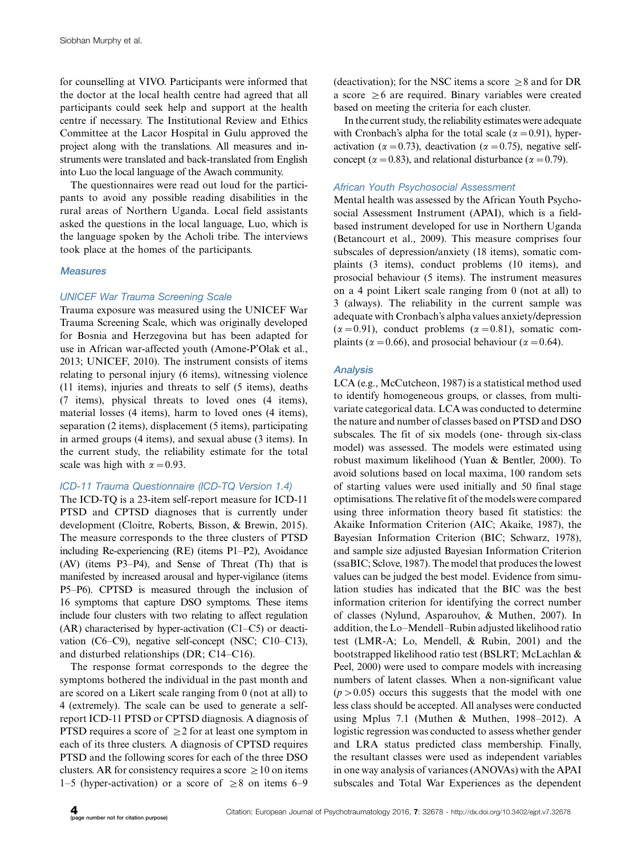for counselling at VIVO. Participants were informed that the doctor at the local health centre had agreed that all participants could seek help and support at the health centre if necessary. The Institutional Review and Ethics Committee at the Lacor Hospital in Gulu approved the project along with the translations. All measures and instruments were translated and back-translated from English into Luo the local language of the Awach community.

The questionnaires were read out loud for the participants to avoid any possible reading disabilities in the rural areas of Northern Uganda. Local field assistants asked the questions in the local language, Luo, which is the language spoken by the Acholi tribe. The interviews took place at the homes of the participants.

#### **Measures**

#### UNICEF War Trauma Screening Scale

Trauma exposure was measured using the UNICEF War Trauma Screening Scale, which was originally developed for Bosnia and Herzegovina but has been adapted for use in African war-affected youth (Amone-P'Olak et al., 2013; UNICEF, 2010). The instrument consists of items relating to personal injury (6 items), witnessing violence (11 items), injuries and threats to self (5 items), deaths (7 items), physical threats to loved ones (4 items), material losses (4 items), harm to loved ones (4 items), separation (2 items), displacement (5 items), participating in armed groups (4 items), and sexual abuse (3 items). In the current study, the reliability estimate for the total scale was high with  $\alpha = 0.93$ .

#### ICD-11 Trauma Questionnaire (ICD-TQ Version 1.4)

The ICD-TQ is a 23-item self-report measure for ICD-11 PTSD and CPTSD diagnoses that is currently under development (Cloitre, Roberts, Bisson, & Brewin, 2015). The measure corresponds to the three clusters of PTSD including Re-experiencing (RE) (items  $P1-P2$ ), Avoidance  $(AV)$  (items P3–P4), and Sense of Threat  $(Th)$  that is manifested by increased arousal and hyper-vigilance (items P5–P6). CPTSD is measured through the inclusion of 16 symptoms that capture DSO symptoms. These items include four clusters with two relating to affect regulation  $(AR)$  characterised by hyper-activation  $(C1-C5)$  or deactivation (C6–C9), negative self-concept (NSC;  $C10-C13$ ), and disturbed relationships (DR; C14-C16).

The response format corresponds to the degree the symptoms bothered the individual in the past month and are scored on a Likert scale ranging from 0 (not at all) to 4 (extremely). The scale can be used to generate a selfreport ICD-11 PTSD or CPTSD diagnosis. A diagnosis of PTSD requires a score of  $\geq$  2 for at least one symptom in each of its three clusters. A diagnosis of CPTSD requires PTSD and the following scores for each of the three DSO clusters. AR for consistency requires a score  $\geq 10$  on items 1-5 (hyper-activation) or a score of  $\geq 8$  on items 6-9

(deactivation); for the NSC items a score  $\geq 8$  and for DR a score  $\geq 6$  are required. Binary variables were created based on meeting the criteria for each cluster.

In the current study, the reliability estimates were adequate with Cronbach's alpha for the total scale ( $\alpha = 0.91$ ), hyperactivation ( $\alpha = 0.73$ ), deactivation ( $\alpha = 0.75$ ), negative selfconcept ( $\alpha = 0.83$ ), and relational disturbance ( $\alpha = 0.79$ ).

#### African Youth Psychosocial Assessment

Mental health was assessed by the African Youth Psychosocial Assessment Instrument (APAI), which is a fieldbased instrument developed for use in Northern Uganda (Betancourt et al., 2009). This measure comprises four subscales of depression/anxiety (18 items), somatic complaints (3 items), conduct problems (10 items), and prosocial behaviour (5 items). The instrument measures on a 4 point Likert scale ranging from 0 (not at all) to 3 (always). The reliability in the current sample was adequate with Cronbach's alphavalues anxiety/depression  $(\alpha = 0.91)$ , conduct problems  $(\alpha = 0.81)$ , somatic complaints ( $\alpha$  = 0.66), and prosocial behaviour ( $\alpha$  = 0.64).

#### **Analysis**

LCA (e.g., McCutcheon, 1987) is a statistical method used to identify homogeneous groups, or classes, from multivariate categorical data. LCAwas conducted to determine the nature and number of classes based on PTSD and DSO subscales. The fit of six models (one- through six-class model) was assessed. The models were estimated using robust maximum likelihood (Yuan & Bentler, 2000). To avoid solutions based on local maxima, 100 random sets of starting values were used initially and 50 final stage optimisations. The relative fit of the models were compared using three information theory based fit statistics: the Akaike Information Criterion (AIC; Akaike, 1987), the Bayesian Information Criterion (BIC; Schwarz, 1978), and sample size adjusted Bayesian Information Criterion (ssaBIC; Sclove, 1987). The model that produces the lowest values can be judged the best model. Evidence from simulation studies has indicated that the BIC was the best information criterion for identifying the correct number of classes (Nylund, Asparouhov, & Muthen, 2007). In addition, the Lo-Mendell-Rubin adjusted likelihood ratio test (LMR-A; Lo, Mendell, & Rubin, 2001) and the bootstrapped likelihood ratio test (BSLRT; McLachlan & Peel, 2000) were used to compare models with increasing numbers of latent classes. When a non-significant value  $(p > 0.05)$  occurs this suggests that the model with one less class should be accepted. All analyses were conducted using Mplus 7.1 (Muthen & Muthen, 1998–2012). A logistic regression was conducted to assess whether gender and LRA status predicted class membership. Finally, the resultant classes were used as independent variables in one way analysis of variances (ANOVAs) with the APAI subscales and Total War Experiences as the dependent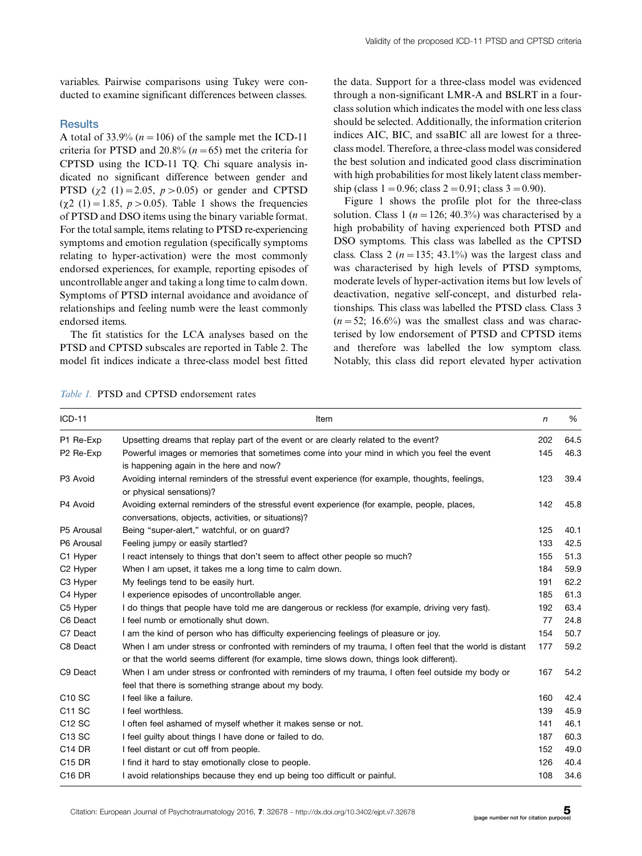variables. Pairwise comparisons using Tukey were conducted to examine significant differences between classes.

#### **Results**

A total of 33.9%  $(n = 106)$  of the sample met the ICD-11 criteria for PTSD and  $20.8\%$  ( $n = 65$ ) met the criteria for CPTSD using the ICD-11 TQ. Chi square analysis indicated no significant difference between gender and PTSD  $(\chi^2(1) = 2.05, p > 0.05)$  or gender and CPTSD  $(\chi^2(1) = 1.85, p > 0.05)$ . Table 1 shows the frequencies of PTSD and DSO items using the binary variable format. For the total sample, items relating to PTSD re-experiencing symptoms and emotion regulation (specifically symptoms relating to hyper-activation) were the most commonly endorsed experiences, for example, reporting episodes of uncontrollable anger and taking a long time to calm down. Symptoms of PTSD internal avoidance and avoidance of relationships and feeling numb were the least commonly endorsed items.

The fit statistics for the LCA analyses based on the PTSD and CPTSD subscales are reported in Table 2. The model fit indices indicate a three-class model best fitted

the data. Support for a three-class model was evidenced through a non-significant LMR-A and BSLRT in a fourclass solution which indicates the model with one less class should be selected. Additionally, the information criterion indices AIC, BIC, and ssaBIC all are lowest for a threeclass model. Therefore, a three-class model was considered the best solution and indicated good class discrimination with high probabilities for most likely latent class membership (class  $1 = 0.96$ ; class  $2 = 0.91$ ; class  $3 = 0.90$ ).

Figure 1 shows the profile plot for the three-class solution. Class 1 ( $n = 126$ ; 40.3%) was characterised by a high probability of having experienced both PTSD and DSO symptoms. This class was labelled as the CPTSD class. Class 2 ( $n = 135$ ; 43.1%) was the largest class and was characterised by high levels of PTSD symptoms, moderate levels of hyper-activation items but low levels of deactivation, negative self-concept, and disturbed relationships. This class was labelled the PTSD class. Class 3  $(n=52; 16.6%)$  was the smallest class and was characterised by low endorsement of PTSD and CPTSD items and therefore was labelled the low symptom class. Notably, this class did report elevated hyper activation

|  |  |  |  |  | <i>Table 1.</i> PTSD and CPTSD endorsement rates |  |
|--|--|--|--|--|--------------------------------------------------|--|
|--|--|--|--|--|--------------------------------------------------|--|

| $ICD-11$              | Item                                                                                                                                                                                                 | $\mathsf{n}$ | %    |
|-----------------------|------------------------------------------------------------------------------------------------------------------------------------------------------------------------------------------------------|--------------|------|
| P1 Re-Exp             | Upsetting dreams that replay part of the event or are clearly related to the event?                                                                                                                  | 202          | 64.5 |
| P <sub>2</sub> Re-Exp | Powerful images or memories that sometimes come into your mind in which you feel the event<br>is happening again in the here and now?                                                                | 145          | 46.3 |
| P <sub>3</sub> Avoid  | Avoiding internal reminders of the stressful event experience (for example, thoughts, feelings,<br>or physical sensations)?                                                                          | 123          | 39.4 |
| P4 Avoid              | Avoiding external reminders of the stressful event experience (for example, people, places,<br>conversations, objects, activities, or situations)?                                                   | 142          | 45.8 |
| P5 Arousal            | Being "super-alert," watchful, or on guard?                                                                                                                                                          | 125          | 40.1 |
| P6 Arousal            | Feeling jumpy or easily startled?                                                                                                                                                                    | 133          | 42.5 |
| C1 Hyper              | I react intensely to things that don't seem to affect other people so much?                                                                                                                          | 155          | 51.3 |
| C <sub>2</sub> Hyper  | When I am upset, it takes me a long time to calm down.                                                                                                                                               | 184          | 59.9 |
| C3 Hyper              | My feelings tend to be easily hurt.                                                                                                                                                                  | 191          | 62.2 |
| C4 Hyper              | I experience episodes of uncontrollable anger.                                                                                                                                                       | 185          | 61.3 |
| C5 Hyper              | I do things that people have told me are dangerous or reckless (for example, driving very fast).                                                                                                     | 192          | 63.4 |
| C6 Deact              | I feel numb or emotionally shut down.                                                                                                                                                                | 77           | 24.8 |
| C7 Deact              | I am the kind of person who has difficulty experiencing feelings of pleasure or joy.                                                                                                                 | 154          | 50.7 |
| C8 Deact              | When I am under stress or confronted with reminders of my trauma, I often feel that the world is distant<br>or that the world seems different (for example, time slows down, things look different). | 177          | 59.2 |
| C9 Deact              | When I am under stress or confronted with reminders of my trauma, I often feel outside my body or<br>feel that there is something strange about my body.                                             | 167          | 54.2 |
| C <sub>10</sub> SC    | I feel like a failure.                                                                                                                                                                               | 160          | 42.4 |
| C11 SC                | I feel worthless.                                                                                                                                                                                    | 139          | 45.9 |
| C12 SC                | I often feel ashamed of myself whether it makes sense or not.                                                                                                                                        | 141          | 46.1 |
| C <sub>13</sub> SC    | I feel guilty about things I have done or failed to do.                                                                                                                                              | 187          | 60.3 |
| <b>C14 DR</b>         | I feel distant or cut off from people.                                                                                                                                                               | 152          | 49.0 |
| <b>C15 DR</b>         | I find it hard to stay emotionally close to people.                                                                                                                                                  | 126          | 40.4 |
| <b>C16 DR</b>         | I avoid relationships because they end up being too difficult or painful.                                                                                                                            | 108          | 34.6 |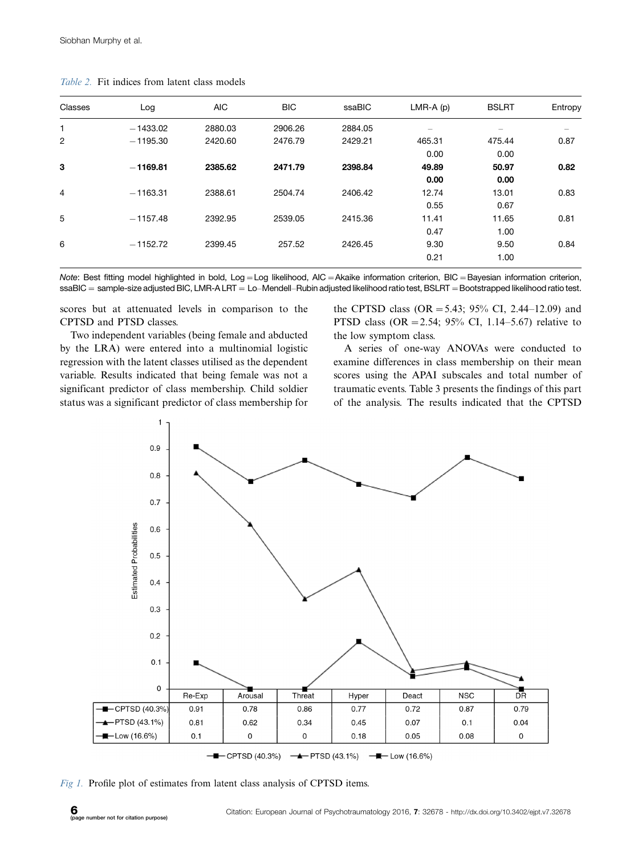| Classes        | Log        | AIC     | <b>BIC</b> | ssaBIC  | $LMR-A(p)$ | <b>BSLRT</b> | Entropy |
|----------------|------------|---------|------------|---------|------------|--------------|---------|
| $\mathbf{1}$   | $-1433.02$ | 2880.03 | 2906.26    | 2884.05 |            |              |         |
| $\overline{2}$ | $-1195.30$ | 2420.60 | 2476.79    | 2429.21 | 465.31     | 475.44       | 0.87    |
|                |            |         |            |         | 0.00       | 0.00         |         |
| 3              | $-1169.81$ | 2385.62 | 2471.79    | 2398.84 | 49.89      | 50.97        | 0.82    |
|                |            |         |            |         | 0.00       | 0.00         |         |
| $\overline{4}$ | $-1163.31$ | 2388.61 | 2504.74    | 2406.42 | 12.74      | 13.01        | 0.83    |
|                |            |         |            |         | 0.55       | 0.67         |         |
| 5              | $-1157.48$ | 2392.95 | 2539.05    | 2415.36 | 11.41      | 11.65        | 0.81    |
|                |            |         |            |         | 0.47       | 1.00         |         |
| 6              | $-1152.72$ | 2399.45 | 257.52     | 2426.45 | 9.30       | 9.50         | 0.84    |
|                |            |         |            |         | 0.21       | 1.00         |         |

Table 2. Fit indices from latent class models

Note: Best fitting model highlighted in bold, Log=Log likelihood, AIC=Akaike information criterion, BIC=Bayesian information criterion, ssaBIC = sample-size adjusted BIC, LMR-A LRT = Lo–Mendell–Rubin adjusted likelihood ratio test, BSLRT = Bootstrapped likelihood ratio test.

scores but at attenuated levels in comparison to the CPTSD and PTSD classes.

Two independent variables (being female and abducted by the LRA) were entered into a multinomial logistic regression with the latent classes utilised as the dependent variable. Results indicated that being female was not a significant predictor of class membership. Child soldier status was a significant predictor of class membership for the CPTSD class (OR = 5.43; 95% CI, 2.44–12.09) and **PTSD** class (OR = 2.54; 95% CI, 1.14–5.67) relative to the low symptom class.

A series of one-way ANOVAs were conducted to examine differences in class membership on their mean scores using the APAI subscales and total number of traumatic events. Table 3 presents the findings of this part of the analysis. The results indicated that the CPTSD



Fig 1. Profile plot of estimates from latent class analysis of CPTSD items.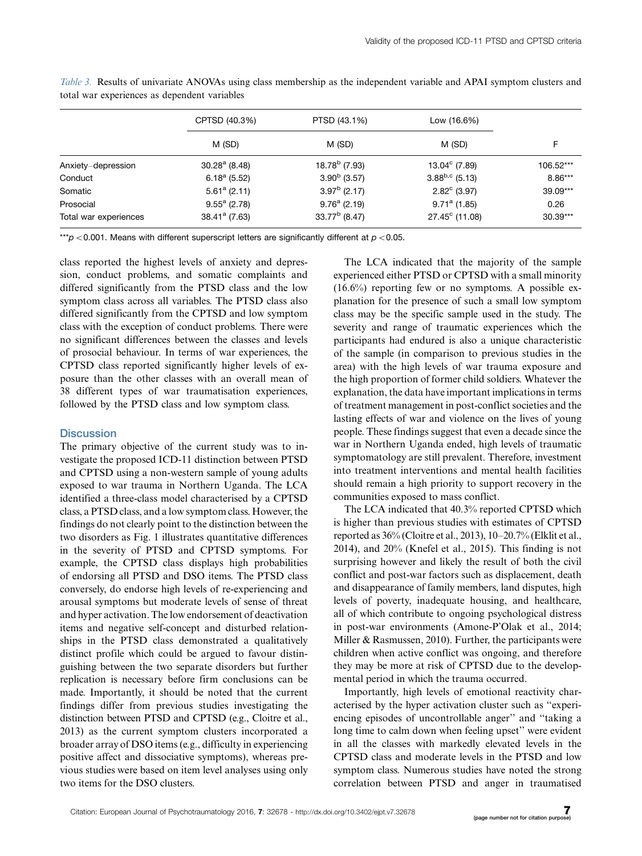|                       | CPTSD (40.3%)          | PTSD (43.1%)            | Low (16.6%)                      |            |
|-----------------------|------------------------|-------------------------|----------------------------------|------------|
|                       | M (SD)                 | M(SD)                   | M (SD)                           |            |
| Anxiety-depression    | $30.28^{\circ}$ (8.48) | 18.78 $^{\rm b}$ (7.93) | 13.04 $\mathrm{^{\circ}}$ (7.89) | 106.52***  |
| Conduct               | $6.18^a$ (5.52)        | $3.90b$ (3.57)          | $3.88^{b,c}$ (5.13)              | $8.86***$  |
| Somatic               | $5.61^a$ (2.11)        | $3.97^{\rm b}$ (2.17)   | $2.82^{\circ}$ (3.97)            | 39.09***   |
| Prosocial             | $9.55^a$ (2.78)        | $9.76^a$ (2.19)         | $9.71a$ (1.85)                   | 0.26       |
| Total war experiences | $38.41^a$ (7.63)       | $33.77^b$ (8.47)        | $27.45^{\circ}$ (11.08)          | $30.39***$ |

Table 3. Results of univariate ANOVAs using class membership as the independent variable and APAI symptom clusters and total war experiences as dependent variables

\*\*\*p < 0.001. Means with different superscript letters are significantly different at  $p$  < 0.05.

class reported the highest levels of anxiety and depression, conduct problems, and somatic complaints and differed significantly from the PTSD class and the low symptom class across all variables. The PTSD class also differed significantly from the CPTSD and low symptom class with the exception of conduct problems. There were no significant differences between the classes and levels of prosocial behaviour. In terms of war experiences, the CPTSD class reported significantly higher levels of exposure than the other classes with an overall mean of 38 different types of war traumatisation experiences, followed by the PTSD class and low symptom class.

#### **Discussion**

The primary objective of the current study was to investigate the proposed ICD-11 distinction between PTSD and CPTSD using a non-western sample of young adults exposed to war trauma in Northern Uganda. The LCA identified a three-class model characterised by a CPTSD class, a PTSD class, and a low symptom class. However, the findings do not clearly point to the distinction between the two disorders as Fig. 1 illustrates quantitative differences in the severity of PTSD and CPTSD symptoms. For example, the CPTSD class displays high probabilities of endorsing all PTSD and DSO items. The PTSD class conversely, do endorse high levels of re-experiencing and arousal symptoms but moderate levels of sense of threat and hyper activation. The low endorsement of deactivation items and negative self-concept and disturbed relationships in the PTSD class demonstrated a qualitatively distinct profile which could be argued to favour distinguishing between the two separate disorders but further replication is necessary before firm conclusions can be made. Importantly, it should be noted that the current findings differ from previous studies investigating the distinction between PTSD and CPTSD (e.g., Cloitre et al., 2013) as the current symptom clusters incorporated a broader array of DSO items (e.g., difficulty in experiencing positive affect and dissociative symptoms), whereas previous studies were based on item level analyses using only two items for the DSO clusters.

The LCA indicated that the majority of the sample experienced either PTSD or CPTSD with a small minority (16.6%) reporting few or no symptoms. A possible explanation for the presence of such a small low symptom class may be the specific sample used in the study. The severity and range of traumatic experiences which the participants had endured is also a unique characteristic of the sample (in comparison to previous studies in the area) with the high levels of war trauma exposure and the high proportion of former child soldiers. Whatever the explanation, the data have important implications in terms of treatment management in post-conflict societies and the lasting effects of war and violence on the lives of young people. These findings suggest that even a decade since the war in Northern Uganda ended, high levels of traumatic symptomatology are still prevalent. Therefore, investment into treatment interventions and mental health facilities should remain a high priority to support recovery in the communities exposed to mass conflict.

The LCA indicated that 40.3% reported CPTSD which is higher than previous studies with estimates of CPTSD reported as 36% (Cloitre et al., 2013), 10–20.7% (Elklit et al., 2014), and 20% (Knefel et al., 2015). This finding is not surprising however and likely the result of both the civil conflict and post-war factors such as displacement, death and disappearance of family members, land disputes, high levels of poverty, inadequate housing, and healthcare, all of which contribute to ongoing psychological distress in post-war environments (Amone-P'Olak et al., 2014; Miller & Rasmussen, 2010). Further, the participants were children when active conflict was ongoing, and therefore they may be more at risk of CPTSD due to the developmental period in which the trauma occurred.

Importantly, high levels of emotional reactivity characterised by the hyper activation cluster such as ''experiencing episodes of uncontrollable anger'' and ''taking a long time to calm down when feeling upset'' were evident in all the classes with markedly elevated levels in the CPTSD class and moderate levels in the PTSD and low symptom class. Numerous studies have noted the strong correlation between PTSD and anger in traumatised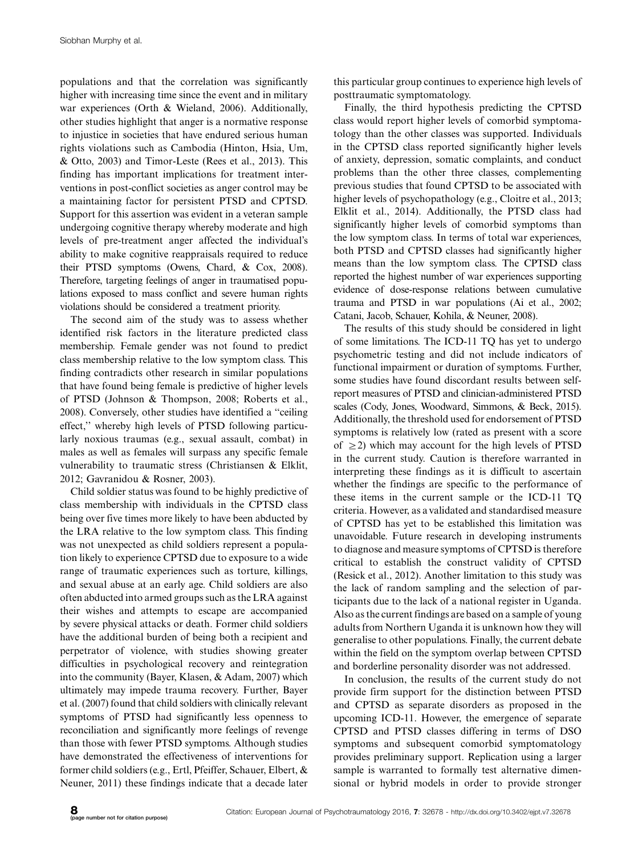populations and that the correlation was significantly higher with increasing time since the event and in military war experiences (Orth & Wieland, 2006). Additionally, other studies highlight that anger is a normative response to injustice in societies that have endured serious human rights violations such as Cambodia (Hinton, Hsia, Um, & Otto, 2003) and Timor-Leste (Rees et al., 2013). This finding has important implications for treatment interventions in post-conflict societies as anger control may be a maintaining factor for persistent PTSD and CPTSD. Support for this assertion was evident in a veteran sample undergoing cognitive therapy whereby moderate and high levels of pre-treatment anger affected the individual's ability to make cognitive reappraisals required to reduce their PTSD symptoms (Owens, Chard, & Cox, 2008). Therefore, targeting feelings of anger in traumatised populations exposed to mass conflict and severe human rights violations should be considered a treatment priority.

The second aim of the study was to assess whether identified risk factors in the literature predicted class membership. Female gender was not found to predict class membership relative to the low symptom class. This finding contradicts other research in similar populations that have found being female is predictive of higher levels of PTSD (Johnson & Thompson, 2008; Roberts et al., 2008). Conversely, other studies have identified a ''ceiling effect,'' whereby high levels of PTSD following particularly noxious traumas (e.g., sexual assault, combat) in males as well as females will surpass any specific female vulnerability to traumatic stress (Christiansen & Elklit, 2012; Gavranidou & Rosner, 2003).

Child soldier status was found to be highly predictive of class membership with individuals in the CPTSD class being over five times more likely to have been abducted by the LRA relative to the low symptom class. This finding was not unexpected as child soldiers represent a population likely to experience CPTSD due to exposure to a wide range of traumatic experiences such as torture, killings, and sexual abuse at an early age. Child soldiers are also often abducted into armed groups such as the LRA against their wishes and attempts to escape are accompanied by severe physical attacks or death. Former child soldiers have the additional burden of being both a recipient and perpetrator of violence, with studies showing greater difficulties in psychological recovery and reintegration into the community (Bayer, Klasen, & Adam, 2007) which ultimately may impede trauma recovery. Further, Bayer et al. (2007) found that child soldiers with clinically relevant symptoms of PTSD had significantly less openness to reconciliation and significantly more feelings of revenge than those with fewer PTSD symptoms. Although studies have demonstrated the effectiveness of interventions for former child soldiers (e.g., Ertl, Pfeiffer, Schauer, Elbert, & Neuner, 2011) these findings indicate that a decade later

this particular group continues to experience high levels of posttraumatic symptomatology.

Finally, the third hypothesis predicting the CPTSD class would report higher levels of comorbid symptomatology than the other classes was supported. Individuals in the CPTSD class reported significantly higher levels of anxiety, depression, somatic complaints, and conduct problems than the other three classes, complementing previous studies that found CPTSD to be associated with higher levels of psychopathology (e.g., Cloitre et al., 2013; Elklit et al., 2014). Additionally, the PTSD class had significantly higher levels of comorbid symptoms than the low symptom class. In terms of total war experiences, both PTSD and CPTSD classes had significantly higher means than the low symptom class. The CPTSD class reported the highest number of war experiences supporting evidence of dose-response relations between cumulative trauma and PTSD in war populations (Ai et al., 2002; Catani, Jacob, Schauer, Kohila, & Neuner, 2008).

The results of this study should be considered in light of some limitations. The ICD-11 TQ has yet to undergo psychometric testing and did not include indicators of functional impairment or duration of symptoms. Further, some studies have found discordant results between selfreport measures of PTSD and clinician-administered PTSD scales (Cody, Jones, Woodward, Simmons, & Beck, 2015). Additionally, the threshold used for endorsement of PTSD symptoms is relatively low (rated as present with a score of  $\geq$ 2) which may account for the high levels of PTSD in the current study. Caution is therefore warranted in interpreting these findings as it is difficult to ascertain whether the findings are specific to the performance of these items in the current sample or the ICD-11 TQ criteria. However, as avalidated and standardised measure of CPTSD has yet to be established this limitation was unavoidable. Future research in developing instruments to diagnose and measure symptoms of CPTSD is therefore critical to establish the construct validity of CPTSD (Resick et al., 2012). Another limitation to this study was the lack of random sampling and the selection of participants due to the lack of a national register in Uganda. Also as the current findings are based on a sample of young adults from Northern Uganda it is unknown how they will generalise to other populations. Finally, the current debate within the field on the symptom overlap between CPTSD and borderline personality disorder was not addressed.

In conclusion, the results of the current study do not provide firm support for the distinction between PTSD and CPTSD as separate disorders as proposed in the upcoming ICD-11. However, the emergence of separate CPTSD and PTSD classes differing in terms of DSO symptoms and subsequent comorbid symptomatology provides preliminary support. Replication using a larger sample is warranted to formally test alternative dimensional or hybrid models in order to provide stronger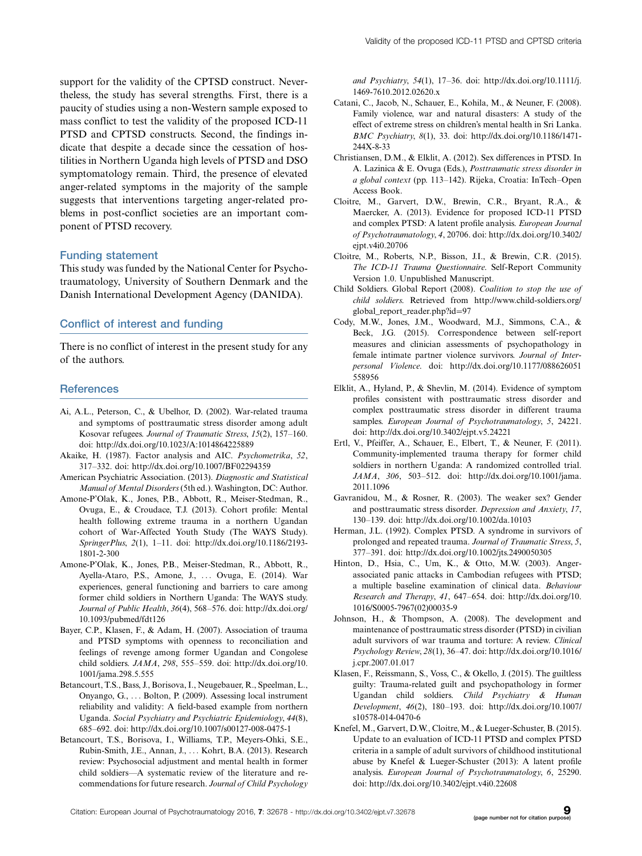support for the validity of the CPTSD construct. Nevertheless, the study has several strengths. First, there is a paucity of studies using a non-Western sample exposed to mass conflict to test the validity of the proposed ICD-11 PTSD and CPTSD constructs. Second, the findings indicate that despite a decade since the cessation of hostilities in Northern Uganda high levels of PTSD and DSO symptomatology remain. Third, the presence of elevated anger-related symptoms in the majority of the sample suggests that interventions targeting anger-related problems in post-conflict societies are an important component of PTSD recovery.

#### Funding statement

This study was funded by the National Center for Psychotraumatology, University of Southern Denmark and the Danish International Development Agency (DANIDA).

#### Conflict of interest and funding

There is no conflict of interest in the present study for any of the authors.

#### **References**

- Ai, A.L., Peterson, C., & Ubelhor, D. (2002). War-related trauma and symptoms of posttraumatic stress disorder among adult Kosovar refugees. Journal of Traumatic Stress, 15(2), 157-160. doi:<http://dx.doi.org/10.1023/A:1014864225889>
- Akaike, H. (1987). Factor analysis and AIC. Psychometrika, 52, 317332. doi:<http://dx.doi.org/10.1007/BF02294359>
- American Psychiatric Association. (2013). Diagnostic and Statistical Manual of Mental Disorders(5th ed.). Washington, DC: Author.
- Amone-P'Olak, K., Jones, P.B., Abbott, R., Meiser-Stedman, R., Ovuga, E., & Croudace, T.J. (2013). Cohort profile: Mental health following extreme trauma in a northern Ugandan cohort of War-Affected Youth Study (The WAYS Study). SpringerPlus, 2(1), 1-11. doi: [http://dx.doi.org/10.1186/2193-](http://dx.doi.org/10.1186/2193-1801-2-300) [1801-2-300](http://dx.doi.org/10.1186/2193-1801-2-300)
- Amone-P'Olak, K., Jones, P.B., Meiser-Stedman, R., Abbott, R., Ayella-Ataro, P.S., Amone, J., ... Ovuga, E. (2014). War experiences, general functioning and barriers to care among former child soldiers in Northern Uganda: The WAYS study. Journal of Public Health, 36(4), 568-576. doi: [http://dx.doi.org/](http://dx.doi.org/10.1093/pubmed/fdt126) [10.1093/pubmed/fdt126](http://dx.doi.org/10.1093/pubmed/fdt126)
- Bayer, C.P., Klasen, F., & Adam, H. (2007). Association of trauma and PTSD symptoms with openness to reconciliation and feelings of revenge among former Ugandan and Congolese child soldiers.  $JAMA$ , 298, 555-559. doi: [http://dx.doi.org/10.](http://dx.doi.org/10.1001/jama.298.5.555) [1001/jama.298.5.555](http://dx.doi.org/10.1001/jama.298.5.555)
- Betancourt, T.S., Bass, J., Borisova, I., Neugebauer, R., Speelman, L., Onyango, G., ... Bolton, P. (2009). Assessing local instrument reliability and validity: A field-based example from northern Uganda. Social Psychiatry and Psychiatric Epidemiology, 44(8), 685692. doi:<http://dx.doi.org/10.1007/s00127-008-0475-1>
- Betancourt, T.S., Borisova, I., Williams, T.P., Meyers-Ohki, S.E., Rubin-Smith, J.E., Annan, J., ... Kohrt, B.A. (2013). Research review: Psychosocial adjustment and mental health in former child soldiers-A systematic review of the literature and recommendations for future research. Journal of Child Psychology

and Psychiatry, 54(1), 17-36. doi: [http://dx.doi.org/10.1111/j.](http://dx.doi.org/10.1111/j.1469-7610.2012.02620.x) [1469-7610.2012.02620.x](http://dx.doi.org/10.1111/j.1469-7610.2012.02620.x)

- Catani, C., Jacob, N., Schauer, E., Kohila, M., & Neuner, F. (2008). Family violence, war and natural disasters: A study of the effect of extreme stress on children's mental health in Sri Lanka. BMC Psychiatry, 8(1), 33. doi: [http://dx.doi.org/10.1186/1471-](http://dx.doi.org/10.1186/1471-244X-8-33.) [244X-8-33](http://dx.doi.org/10.1186/1471-244X-8-33.)
- Christiansen, D.M., & Elklit, A. (2012). Sex differences in PTSD. In A. Lazinica & E. Ovuga (Eds.), Posttraumatic stress disorder in a global context (pp. 113-142). Rijeka, Croatia: InTech-Open Access Book.
- Cloitre, M., Garvert, D.W., Brewin, C.R., Bryant, R.A., & Maercker, A. (2013). Evidence for proposed ICD-11 PTSD and complex PTSD: A latent profile analysis. European Journal of Psychotraumatology, 4, 20706. doi: [http://dx.doi.org/10.3402/](http://dx.doi.org/10.3402/ejpt.v4i0.20706) [ejpt.v4i0.20706](http://dx.doi.org/10.3402/ejpt.v4i0.20706)
- Cloitre, M., Roberts, N.P., Bisson, J.I., & Brewin, C.R. (2015). The ICD-11 Trauma Questionnaire. Self-Report Community Version 1.0. Unpublished Manuscript.
- Child Soldiers. Global Report (2008). Coalition to stop the use of child soldiers. Retrieved from [http://www.child-soldiers.org/](http://www.child-soldiers.org/global_report_reader.php?id=97) [global\\_report\\_reader.php?id](http://www.child-soldiers.org/global_report_reader.php?id=97)[-](http://www.child-soldiers.org/global_report_reader.php?id=97)[97](http://www.child-soldiers.org/global_report_reader.php?id=97)
- Cody, M.W., Jones, J.M., Woodward, M.J., Simmons, C.A., & Beck, J.G. (2015). Correspondence between self-report measures and clinician assessments of psychopathology in female intimate partner violence survivors. Journal of Interpersonal Violence. doi: [http://dx.doi.org/10.1177/088626051](http://dx.doi.org/10.1177/088626051558956) [558956](http://dx.doi.org/10.1177/088626051558956)
- Elklit, A., Hyland, P., & Shevlin, M. (2014). Evidence of symptom profiles consistent with posttraumatic stress disorder and complex posttraumatic stress disorder in different trauma samples. European Journal of Psychotraumatology, 5, 24221. doi:<http://dx.doi.org/10.3402/ejpt.v5.24221>
- Ertl, V., Pfeiffer, A., Schauer, E., Elbert, T., & Neuner, F. (2011). Community-implemented trauma therapy for former child soldiers in northern Uganda: A randomized controlled trial.  $JAMA$ , 306, 503-512. doi: [http://dx.doi.org/10.1001/jama.](http://dx.doi.org/10.1001/jama.2011.1096) [2011.1096](http://dx.doi.org/10.1001/jama.2011.1096)
- Gavranidou, M., & Rosner, R. (2003). The weaker sex? Gender and posttraumatic stress disorder. Depression and Anxiety, 17, 130139. doi:<http://dx.doi.org/10.1002/da.10103>
- Herman, J.L. (1992). Complex PTSD. A syndrome in survivors of prolonged and repeated trauma. Journal of Traumatic Stress, 5, 377391. doi:<http://dx.doi.org/10.1002/jts.2490050305>
- Hinton, D., Hsia, C., Um, K., & Otto, M.W. (2003). Angerassociated panic attacks in Cambodian refugees with PTSD; a multiple baseline examination of clinical data. Behaviour Research and Therapy, 41, 647-654. doi: [http://dx.doi.org/10.](http://dx.doi.org/10.1016/S0005-7967(02)00035-9) [1016/S0005-7967\(02\)00035-9](http://dx.doi.org/10.1016/S0005-7967(02)00035-9)
- Johnson, H., & Thompson, A. (2008). The development and maintenance of posttraumatic stress disorder (PTSD) in civilian adult survivors of war trauma and torture: A review. Clinical Psychology Review, 28(1), 36-47. doi: [http://dx.doi.org/10.1016/](http://dx.doi.org/10.1016/j.cpr.2007.01.017) [j.cpr.2007.01.017](http://dx.doi.org/10.1016/j.cpr.2007.01.017)
- Klasen, F., Reissmann, S., Voss, C., & Okello, J. (2015). The guiltless guilty: Trauma-related guilt and psychopathology in former Ugandan child soldiers. Child Psychiatry & Human Development, 46(2), 180-193. doi: [http://dx.doi.org/10.1007/](http://dx.doi.org/10.1007/s10578-014-0470-6) [s10578-014-0470-6](http://dx.doi.org/10.1007/s10578-014-0470-6)
- Knefel, M., Garvert, D.W., Cloitre, M., & Lueger-Schuster, B. (2015). Update to an evaluation of ICD-11 PTSD and complex PTSD criteria in a sample of adult survivors of childhood institutional abuse by Knefel & Lueger-Schuster (2013): A latent profile analysis. European Journal of Psychotraumatology, 6, 25290. doi:<http://dx.doi.org/10.3402/ejpt.v4i0.22608>